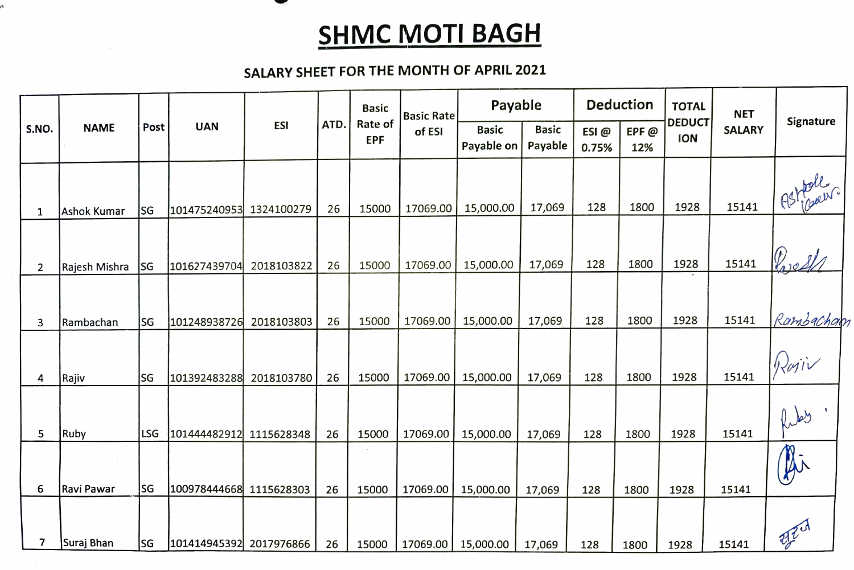## **SHMC MOTI BAGH**

## SALARY SHEET FOR THE MONTH OF APRIL 2021

À

|                | <b>NAME</b>   | Post | <b>UAN</b>              | <b>ESI</b> | ATD. | <b>Basic</b><br>Rate of<br><b>EPF</b> | <b>Basic Rate</b><br>of ESI | Payable                    |                         | <b>Deduction</b> |             | <b>TOTAL</b>                | <b>NET</b>    |                  |
|----------------|---------------|------|-------------------------|------------|------|---------------------------------------|-----------------------------|----------------------------|-------------------------|------------------|-------------|-----------------------------|---------------|------------------|
| S.NO.          |               |      |                         |            |      |                                       |                             | <b>Basic</b><br>Payable on | <b>Basic</b><br>Payable | ESI@<br>0.75%    | EPF@<br>12% | <b>DEDUCT</b><br><b>ION</b> | <b>SALARY</b> | Signature        |
| $\mathbf{1}$   | Ashok Kumar   | lsg  | 101475240953            | 1324100279 | 26   | 15000                                 | 17069.00                    | 15,000.00                  | 17,069                  | 128              | 1800        | 1928                        | 15141         | Astimer          |
| $\overline{2}$ | Rajesh Mishra | lsg  | 101627439704            | 2018103822 | 26   | 15000                                 | 17069.00                    | 15,000.00                  | 17,069                  | 128              | 1800        | 1928                        | 15141         | Priest           |
| 3              | Rambachan     | lsg  | 101248938726            | 2018103803 | 26   | 15000                                 | 17069.00                    | 15,000.00                  | 17,069                  | 128              | 1800        | 1928                        | 15141         | Rambacham        |
| 4              | Rajiv         | lsg  | 101392483288            | 2018103780 | 26   | 15000                                 | 17069.00                    | 15,000.00                  | 17,069                  | 128              | 1800        | 1928                        | 15141         | Rajiv            |
| 5              | Ruby          | LSG  | 101444482912            | 1115628348 | 26   | 15000                                 | 17069.00                    | 15,000.00                  | 17,069                  | 128              | 1800        | 1928                        | 15141         | $\ell_{\rm obs}$ |
| 6              | Ravi Pawar    | lsg  | 100978444668            | 1115628303 | 26   | 15000                                 | 17069.00                    | 15,000.00                  | 17,069                  | 128              | 1800        | 1928                        | 15141         | Ai               |
| 7              | Suraj Bhan    | lsg  | 101414945392 2017976866 |            | 26   | 15000                                 | 17069.00                    | 15,000.00                  | 17,069                  | 128              | 1800        | 1928                        | 15141         | 西亚               |